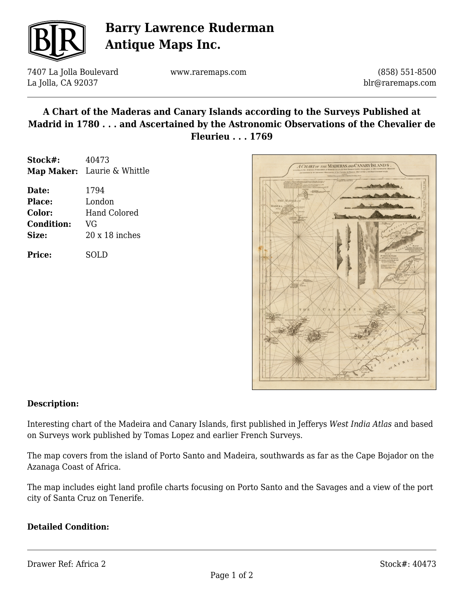

# **Barry Lawrence Ruderman Antique Maps Inc.**

7407 La Jolla Boulevard La Jolla, CA 92037

www.raremaps.com

(858) 551-8500 blr@raremaps.com

### **A Chart of the Maderas and Canary Islands according to the Surveys Published at Madrid in 1780 . . . and Ascertained by the Astronomic Observations of the Chevalier de Fleurieu . . . 1769**

| Stock#:       | 40473                       |
|---------------|-----------------------------|
|               | Map Maker: Laurie & Whittle |
| Date:         | 1794                        |
| <b>Place:</b> | London                      |
| Color:        | Hand Colored                |

**Condition:** VG **Size:** 20 x 18 inches

**Price:** SOLD



#### **Description:**

Interesting chart of the Madeira and Canary Islands, first published in Jefferys *West India Atlas* and based on Surveys work published by Tomas Lopez and earlier French Surveys.

The map covers from the island of Porto Santo and Madeira, southwards as far as the Cape Bojador on the Azanaga Coast of Africa.

The map includes eight land profile charts focusing on Porto Santo and the Savages and a view of the port city of Santa Cruz on Tenerife.

#### **Detailed Condition:**